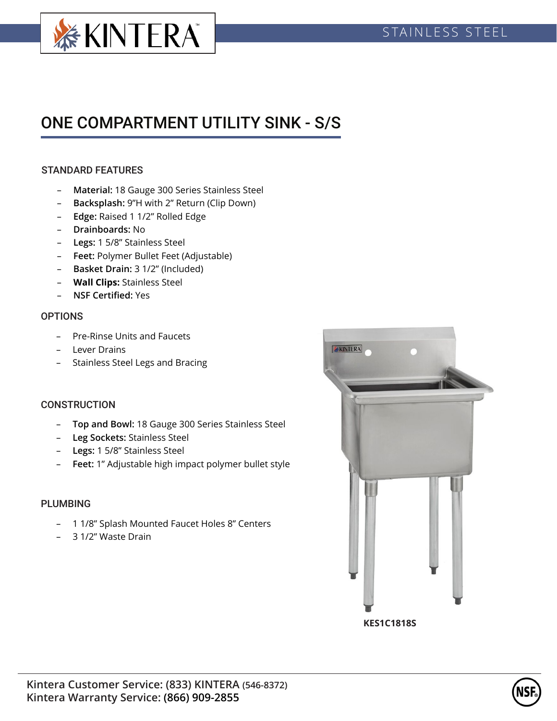

# ONE COMPARTMENT UTILITY SINK - S/S

# STANDARD FEATURES

- **Material:** 18 Gauge 300 Series Stainless Steel
- **Backsplash:** 9"H with 2" Return (Clip Down)
- **Edge:** Raised 1 1/2" Rolled Edge
- **Drainboards:** No
- **Legs:** 1 5/8" Stainless Steel
- **Feet:** Polymer Bullet Feet (Adjustable)
- **Basket Drain:** 3 1/2" (Included)
- **Wall Clips:** Stainless Steel
- **NSF Certified:** Yes

#### **OPTIONS**

- Pre-Rinse Units and Faucets
- Lever Drains
- Stainless Steel Legs and Bracing

## **CONSTRUCTION**

- **Top and Bowl:** 18 Gauge 300 Series Stainless Steel
- **Leg Sockets:** Stainless Steel
- **Legs:** 1 5/8" Stainless Steel
- **Feet:** 1" Adjustable high impact polymer bullet style

## PLUMBING

- 1 1/8" Splash Mounted Faucet Holes 8" Centers
- 3 1/2" Waste Drain